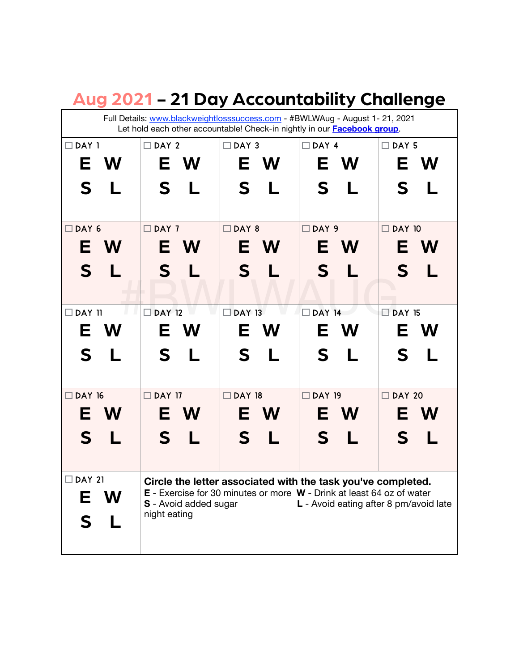| Aug 2021 - 21 Day Accountability Challenge |     |                    |                              |                    |     |                                                                                  |     |                                                                                                                                                                                               |     |
|--------------------------------------------|-----|--------------------|------------------------------|--------------------|-----|----------------------------------------------------------------------------------|-----|-----------------------------------------------------------------------------------------------------------------------------------------------------------------------------------------------|-----|
|                                            |     |                    |                              |                    |     | Let hold each other accountable! Check-in nightly in our <b>Facebook group</b> . |     | Full Details: www.blackweightlosssuccess.com - #BWLWAug - August 1- 21, 2021                                                                                                                  |     |
| $\Box$ DAY 1                               |     | $\Box$ DAY 2       |                              | $\Box$ DAY 3       |     | $\Box$ DAY 4                                                                     |     | $\Box$ DAY 5                                                                                                                                                                                  |     |
|                                            | E W |                    | E W                          |                    | E W |                                                                                  | E W |                                                                                                                                                                                               | E W |
| S                                          | L   | S                  | L                            | S                  | L   | S                                                                                | L   | S                                                                                                                                                                                             | L   |
| $\Box$ DAY 6                               |     | $\Box$ DAY 7       |                              | $\Box$ DAY 8       |     | $\Box$ DAY 9                                                                     |     | $\Box$ DAY 10                                                                                                                                                                                 |     |
|                                            | E W |                    | E W                          |                    | E W |                                                                                  | E W |                                                                                                                                                                                               | E W |
| S                                          |     | S                  | L                            | S                  |     | S                                                                                |     | S                                                                                                                                                                                             | L   |
| п<br><b>DAY 11</b>                         |     | $\Box$ DAY 12      |                              | <b>DAY 13</b>      |     | $\Box$ DAY 14                                                                    |     | $\Box$ DAY 15                                                                                                                                                                                 |     |
|                                            | E W |                    | E W                          |                    | E W |                                                                                  | E W |                                                                                                                                                                                               | E W |
| S                                          |     | S                  | L                            | S                  | L   | S                                                                                |     | S                                                                                                                                                                                             | L   |
| □<br><b>DAY 16</b>                         |     | <b>DAY 17</b><br>п |                              | <b>DAY 18</b><br>П |     | $\Box$<br><b>DAY 19</b>                                                          |     | $\Box$ DAY 20                                                                                                                                                                                 |     |
|                                            | E W |                    | E W                          |                    | E W |                                                                                  | E W |                                                                                                                                                                                               | E W |
| S                                          |     | S                  | L                            | S                  | L   | S                                                                                | Н   | S                                                                                                                                                                                             | L   |
| $\Box$ DAY 21                              | E W | night eating       | <b>S</b> - Avoid added sugar |                    |     |                                                                                  |     | Circle the letter associated with the task you've completed.<br><b>E</b> - Exercise for 30 minutes or more <b>W</b> - Drink at least 64 oz of water<br>L - Avoid eating after 8 pm/avoid late |     |